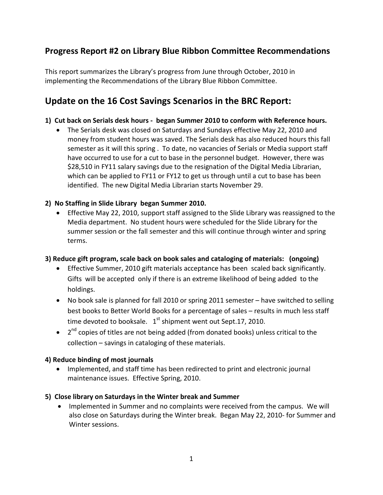## **Progress Report #2 on Library Blue Ribbon Committee Recommendations**

This report summarizes the Library's progress from June through October, 2010 in implementing the Recommendations of the Library Blue Ribbon Committee.

# **Update on the 16 Cost Savings Scenarios in the BRC Report:**

#### **1) Cut back on Serials desk hours - began Summer 2010 to conform with Reference hours.**

• The Serials desk was closed on Saturdays and Sundays effective May 22, 2010 and money from student hours was saved. The Serials desk has also reduced hours this fall semester as it will this spring . To date, no vacancies of Serials or Media support staff have occurred to use for a cut to base in the personnel budget. However, there was \$28,510 in FY11 salary savings due to the resignation of the Digital Media Librarian, which can be applied to FY11 or FY12 to get us through until a cut to base has been identified. The new Digital Media Librarian starts November 29.

#### **2) No Staffing in Slide Library began Summer 2010.**

• Effective May 22, 2010, support staff assigned to the Slide Library was reassigned to the Media department. No student hours were scheduled for the Slide Library for the summer session or the fall semester and this will continue through winter and spring terms.

#### **3) Reduce gift program, scale back on book sales and cataloging of materials: (ongoing)**

- Effective Summer, 2010 gift materials acceptance has been scaled back significantly. Gifts will be accepted only if there is an extreme likelihood of being added to the holdings.
- No book sale is planned for fall 2010 or spring 2011 semester have switched to selling best books to Better World Books for a percentage of sales – results in much less staff time devoted to booksale.  $1<sup>st</sup>$  shipment went out Sept.17, 2010.
- 2<sup>nd</sup> copies of titles are not being added (from donated books) unless critical to the collection – savings in cataloging of these materials.

#### **4) Reduce binding of most journals**

• Implemented, and staff time has been redirected to print and electronic journal maintenance issues. Effective Spring, 2010.

#### **5) Close library on Saturdays in the Winter break and Summer**

• Implemented in Summer and no complaints were received from the campus. We will also close on Saturdays during the Winter break. Began May 22, 2010- for Summer and Winter sessions.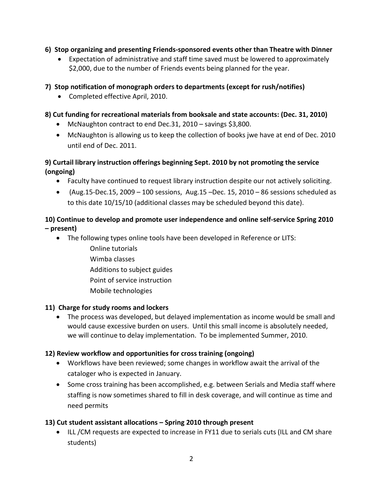#### **6) Stop organizing and presenting Friends-sponsored events other than Theatre with Dinner**

• Expectation of administrative and staff time saved must be lowered to approximately \$2,000, due to the number of Friends events being planned for the year.

## **7) Stop notification of monograph orders to departments (except for rush/notifies)**

• Completed effective April, 2010.

### **8) Cut funding for recreational materials from booksale and state accounts: (Dec. 31, 2010)**

- McNaughton contract to end Dec.31, 2010 savings \$3,800.
- McNaughton is allowing us to keep the collection of books jwe have at end of Dec. 2010 until end of Dec. 2011.

## **9) Curtail library instruction offerings beginning Sept. 2010 by not promoting the service (ongoing)**

- Faculty have continued to request library instruction despite our not actively soliciting.
- (Aug.15-Dec.15, 2009 100 sessions, Aug.15 –Dec. 15, 2010 86 sessions scheduled as to this date 10/15/10 (additional classes may be scheduled beyond this date).

## **10) Continue to develop and promote user independence and online self-service Spring 2010 – present)**

- The following types online tools have been developed in Reference or LITS:
	- Online tutorials Wimba classes Additions to subject guides Point of service instruction Mobile technologies

## **11) Charge for study rooms and lockers**

• The process was developed, but delayed implementation as income would be small and would cause excessive burden on users. Until this small income is absolutely needed, we will continue to delay implementation. To be implemented Summer, 2010.

## **12) Review workflow and opportunities for cross training (ongoing)**

- Workflows have been reviewed; some changes in workflow await the arrival of the cataloger who is expected in January.
- Some cross training has been accomplished, e.g. between Serials and Media staff where staffing is now sometimes shared to fill in desk coverage, and will continue as time and need permits

## **13) Cut student assistant allocations – Spring 2010 through present**

• ILL /CM requests are expected to increase in FY11 due to serials cuts (ILL and CM share students)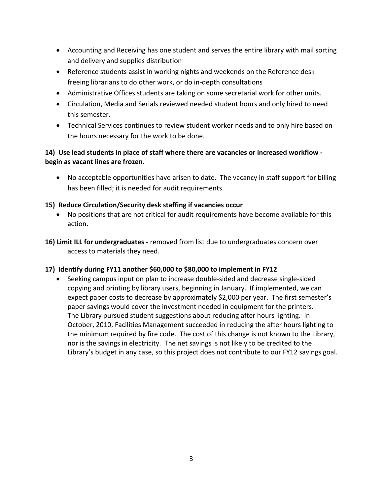- Accounting and Receiving has one student and serves the entire library with mail sorting and delivery and supplies distribution
- Reference students assist in working nights and weekends on the Reference desk freeing librarians to do other work, or do in-depth consultations
- Administrative Offices students are taking on some secretarial work for other units.
- Circulation, Media and Serials reviewed needed student hours and only hired to need this semester.
- Technical Services continues to review student worker needs and to only hire based on the hours necessary for the work to be done.

### **14) Use lead students in place of staff where there are vacancies or increased workflow begin as vacant lines are frozen.**

• No acceptable opportunities have arisen to date. The vacancy in staff support for billing has been filled; it is needed for audit requirements.

#### **15) Reduce Circulation/Security desk staffing if vacancies occur**

- No positions that are not critical for audit requirements have become available for this action.
- **16) Limit ILL for undergraduates -** removed from list due to undergraduates concern over access to materials they need.

## **17) Identify during FY11 another \$60,000 to \$80,000 to implement in FY12**

• Seeking campus input on plan to increase double-sided and decrease single-sided copying and printing by library users, beginning in January. If implemented, we can expect paper costs to decrease by approximately \$2,000 per year. The first semester's paper savings would cover the investment needed in equipment for the printers. The Library pursued student suggestions about reducing after hours lighting. In October, 2010, Facilities Management succeeded in reducing the after hours lighting to the minimum required by fire code. The cost of this change is not known to the Library, nor is the savings in electricity. The net savings is not likely to be credited to the Library's budget in any case, so this project does not contribute to our FY12 savings goal.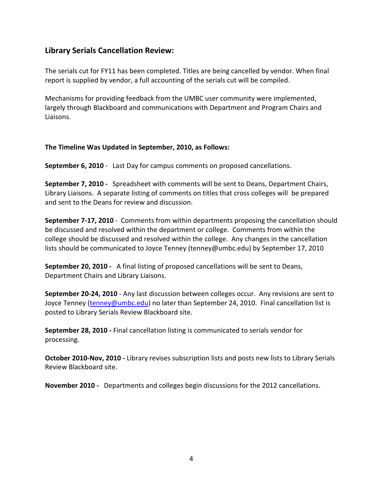## **Library Serials Cancellation Review:**

The serials cut for FY11 has been completed. Titles are being cancelled by vendor. When final report is supplied by vendor, a full accounting of the serials cut will be compiled.

Mechanisms for providing feedback from the UMBC user community were implemented, largely through Blackboard and communications with Department and Program Chairs and Liaisons.

#### **The Timeline Was Updated in September, 2010, as Follows:**

**September 6, 2010** - Last Day for campus comments on proposed cancellations.

**September 7, 2010 -** Spreadsheet with comments will be sent to Deans, Department Chairs, Library Liaisons. A separate listing of comments on titles that cross colleges will be prepared and sent to the Deans for review and discussion.

**September 7-17, 2010** - Comments from within departments proposing the cancellation should be discussed and resolved within the department or college. Comments from within the college should be discussed and resolved within the college. Any changes in the cancellation lists should be communicated to Joyce Tenney (tenney@umbc.edu) by September 17, 2010

**September 20, 2010 -** A final listing of proposed cancellations will be sent to Deans, Department Chairs and Library Liaisons.

**September 20-24, 2010** - Any last discussion between colleges occur. Any revisions are sent to Joyce Tenney [\(tenney@umbc.edu\)](mailto:tenney@umbc.edu) no later than September 24, 2010. Final cancellation list is posted to Library Serials Review Blackboard site.

**September 28, 2010 -** Final cancellation listing is communicated to serials vendor for processing.

**October 2010-Nov, 2010 -** Library revises subscription lists and posts new lists to Library Serials Review Blackboard site.

**November 2010 -** Departments and colleges begin discussions for the 2012 cancellations.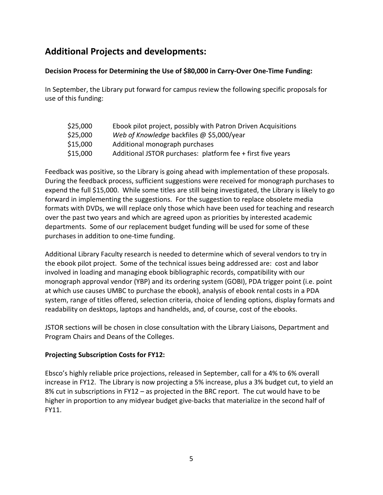# **Additional Projects and developments:**

#### **Decision Process for Determining the Use of \$80,000 in Carry-Over One-Time Funding:**

In September, the Library put forward for campus review the following specific proposals for use of this funding:

| \$25,000 | Ebook pilot project, possibly with Patron Driven Acquisitions |
|----------|---------------------------------------------------------------|
| \$25,000 | Web of Knowledge backfiles @ \$5,000/year                     |
| \$15,000 | Additional monograph purchases                                |
| \$15,000 | Additional JSTOR purchases: platform fee + first five years   |

Feedback was positive, so the Library is going ahead with implementation of these proposals. During the feedback process, sufficient suggestions were received for monograph purchases to expend the full \$15,000. While some titles are still being investigated, the Library is likely to go forward in implementing the suggestions. For the suggestion to replace obsolete media formats with DVDs, we will replace only those which have been used for teaching and research over the past two years and which are agreed upon as priorities by interested academic departments. Some of our replacement budget funding will be used for some of these purchases in addition to one-time funding.

Additional Library Faculty research is needed to determine which of several vendors to try in the ebook pilot project. Some of the technical issues being addressed are: cost and labor involved in loading and managing ebook bibliographic records, compatibility with our monograph approval vendor (YBP) and its ordering system (GOBI), PDA trigger point (i.e. point at which use causes UMBC to purchase the ebook), analysis of ebook rental costs in a PDA system, range of titles offered, selection criteria, choice of lending options, display formats and readability on desktops, laptops and handhelds, and, of course, cost of the ebooks.

JSTOR sections will be chosen in close consultation with the Library Liaisons, Department and Program Chairs and Deans of the Colleges.

#### **Projecting Subscription Costs for FY12:**

Ebsco's highly reliable price projections, released in September, call for a 4% to 6% overall increase in FY12. The Library is now projecting a 5% increase, plus a 3% budget cut, to yield an 8% cut in subscriptions in FY12 – as projected in the BRC report. The cut would have to be higher in proportion to any midyear budget give-backs that materialize in the second half of FY11.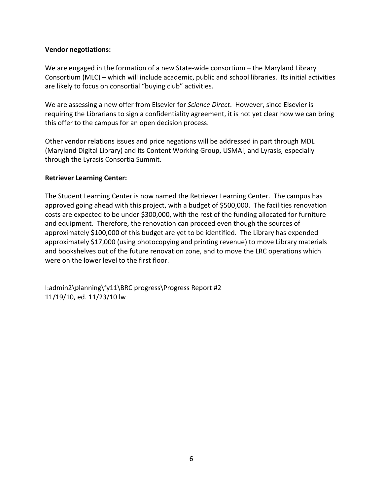#### **Vendor negotiations:**

We are engaged in the formation of a new State-wide consortium – the Maryland Library Consortium (MLC) – which will include academic, public and school libraries. Its initial activities are likely to focus on consortial "buying club" activities.

We are assessing a new offer from Elsevier for *Science Direct*. However, since Elsevier is requiring the Librarians to sign a confidentiality agreement, it is not yet clear how we can bring this offer to the campus for an open decision process.

Other vendor relations issues and price negations will be addressed in part through MDL (Maryland Digital Library) and its Content Working Group, USMAI, and Lyrasis, especially through the Lyrasis Consortia Summit.

#### **Retriever Learning Center:**

The Student Learning Center is now named the Retriever Learning Center. The campus has approved going ahead with this project, with a budget of \$500,000. The facilities renovation costs are expected to be under \$300,000, with the rest of the funding allocated for furniture and equipment. Therefore, the renovation can proceed even though the sources of approximately \$100,000 of this budget are yet to be identified. The Library has expended approximately \$17,000 (using photocopying and printing revenue) to move Library materials and bookshelves out of the future renovation zone, and to move the LRC operations which were on the lower level to the first floor.

I:admin2\planning\fy11\BRC progress\Progress Report #2 11/19/10, ed. 11/23/10 lw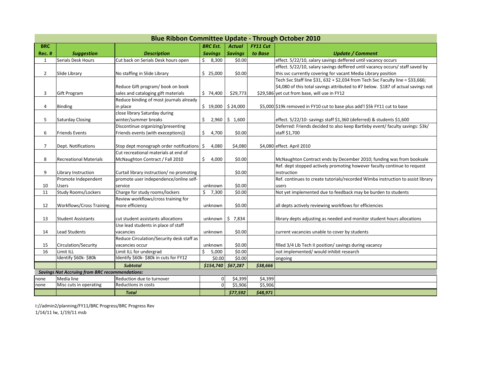| <b>Blue Ribbon Committee Update - Through October 2010</b> |                                                       |                                                       |                      |                  |          |                                                                                   |  |  |  |  |
|------------------------------------------------------------|-------------------------------------------------------|-------------------------------------------------------|----------------------|------------------|----------|-----------------------------------------------------------------------------------|--|--|--|--|
| <b>BRC</b>                                                 |                                                       |                                                       | <b>BRC Est.</b>      | <b>Actual</b>    | FY11 Cut |                                                                                   |  |  |  |  |
| <b>Rec. #</b>                                              | <b>Suggestion</b>                                     | <b>Description</b>                                    | <b>Savings</b>       | <b>Savings</b>   | to Base  | <b>Update / Comment</b>                                                           |  |  |  |  |
| $\mathbf{1}$                                               | Serials Desk Hours                                    | Cut back on Serials Desk hours open                   | $\zeta$<br>8,300     | \$0.00           |          | effect. 5/22/10, salary savings deffered until vacancy occurs                     |  |  |  |  |
|                                                            |                                                       |                                                       |                      |                  |          | effect. 5/22/10, salary savings deffered until vacancy occurs/ staff saved by     |  |  |  |  |
| $\overline{2}$                                             | Slide Library                                         | No staffing in Slide Library                          | \$25,000             | \$0.00           |          | this svc currently covering for vacant Media Library position                     |  |  |  |  |
|                                                            |                                                       |                                                       |                      |                  |          | Tech Svc Staff line \$31, 632 + \$2,034 from Tech Svc Faculty line = \$33,666;    |  |  |  |  |
|                                                            |                                                       | Reduce Gift program/ book on book                     |                      |                  |          | \$4,080 of this total savings attributed to #7 below. \$187 of actual savings not |  |  |  |  |
| 3                                                          | <b>Gift Program</b>                                   | sales and cataloging gift materials                   | \$74,400             | \$29,773         |          | \$29,586 yet cut from base, will use in FY12                                      |  |  |  |  |
|                                                            |                                                       | Reduce binding of most journals already               |                      |                  |          |                                                                                   |  |  |  |  |
| 4                                                          | <b>Binding</b>                                        | in place                                              | $$19,000$ $$24,000$  |                  |          | \$5,000 \$19k removed in FY10 cut to base plus add'l \$5k FY11 cut to base        |  |  |  |  |
|                                                            |                                                       | close library Saturday during                         |                      |                  |          |                                                                                   |  |  |  |  |
| 5                                                          | <b>Saturday Closing</b>                               | winter/summer breaks                                  | \$                   | $2,960$ \$ 1,600 |          | effect. 5/22/10- savings staff \$1,360 (deferred) & students \$1,600              |  |  |  |  |
|                                                            |                                                       | Discontinue organizing/presenting                     |                      |                  |          | Deferred: Friends decided to also keep Bartleby event/ faculty savings: \$3k/     |  |  |  |  |
| 6                                                          | <b>Friends Events</b>                                 | Friends events (with execeptions))                    | \$<br>4,700          | \$0.00           |          | staff \$1,700                                                                     |  |  |  |  |
|                                                            |                                                       |                                                       |                      |                  |          |                                                                                   |  |  |  |  |
| $\overline{7}$                                             | Dept. Notifications                                   | Stop dept monograph order notifications $\frac{1}{2}$ | 4,080                | \$4,080          |          | \$4,080 effect. April 2010                                                        |  |  |  |  |
|                                                            |                                                       | Cut recreational materials at end of                  |                      |                  |          |                                                                                   |  |  |  |  |
| 8                                                          | <b>Recreational Materials</b>                         | McNaughton Contract / Fall 2010                       | \$<br>4,000          | \$0.00           |          | McNaughton Contract ends by December 2010; funding was from booksale              |  |  |  |  |
|                                                            |                                                       |                                                       |                      |                  |          | Ref. dept stopped actively promoting however faculty continue to request          |  |  |  |  |
| 9                                                          | Library Instruction                                   | Curtail library instruction/ no promoting             |                      | \$0.00           |          | instruction                                                                       |  |  |  |  |
|                                                            | Promote Independent                                   | promote user independence/online self-                |                      |                  |          | Ref. continues to create tutorials/recorded Wimba instruction to assist library   |  |  |  |  |
| 10                                                         | <b>Users</b>                                          | service                                               | unknown              | \$0.00           |          | users                                                                             |  |  |  |  |
| 11                                                         | <b>Study Rooms/Lockers</b>                            | Charge for study rooms/lockers                        | \$<br>7,300          | \$0.00           |          | Not yet implemented due to feedback may be burden to students                     |  |  |  |  |
|                                                            |                                                       | Review workflows/cross training for                   |                      |                  |          |                                                                                   |  |  |  |  |
| 12                                                         | <b>Workflows/Cross Training</b>                       | more efficiency                                       | unknown              | \$0.00           |          | all depts actively reviewing workflows for efficiencies                           |  |  |  |  |
|                                                            |                                                       |                                                       |                      |                  |          |                                                                                   |  |  |  |  |
| 13                                                         | <b>Student Assistants</b>                             | cut student assistants allocations                    | unknown              | $\zeta$<br>7,834 |          | library depts adjusting as needed and monitor student hours allocations           |  |  |  |  |
|                                                            |                                                       | Use lead students in place of staff                   |                      |                  |          |                                                                                   |  |  |  |  |
| 14                                                         | Lead Students                                         | vacancies                                             | unknown              | \$0.00           |          | current vacancies unable to cover by students                                     |  |  |  |  |
|                                                            |                                                       | Reduce Circulation/Security desk staff as             |                      |                  |          |                                                                                   |  |  |  |  |
| 15                                                         | Circulation/Security                                  | vacancies occur                                       | unknown              | \$0.00           |          | filled 3/4 Lib Tech II position/ savings during vacancy                           |  |  |  |  |
| 16                                                         | Limit ILL                                             | Limit ILL for undergrad                               | \$<br>5,000          | \$0.00           |          | not implemented/ would inhibit research                                           |  |  |  |  |
|                                                            | Identify \$60k-\$80k                                  | Identify \$60k-\$80k in cuts for FY12                 | \$0.00               | \$0.00           |          | ongoing                                                                           |  |  |  |  |
|                                                            |                                                       | <b>Subtotal</b>                                       | $$154,740$ $$67,287$ |                  | \$38,666 |                                                                                   |  |  |  |  |
|                                                            | <b>Savings Not Accruing from BRC recommendations:</b> |                                                       |                      |                  |          |                                                                                   |  |  |  |  |
| none                                                       | Media line                                            | Reduction due to turnover                             | 01                   | \$4,399          | \$4,399  |                                                                                   |  |  |  |  |
| none                                                       | Misc cuts in operating                                | Reductions in costs                                   |                      | \$5,906          | \$5,906  |                                                                                   |  |  |  |  |
|                                                            |                                                       | <b>Total</b>                                          |                      | \$77,592         | \$48,971 |                                                                                   |  |  |  |  |

I://admin2/planning/FY11/BRC Progress/BRC Progress Rev 1/14/11 lw, 1/19/11 msb